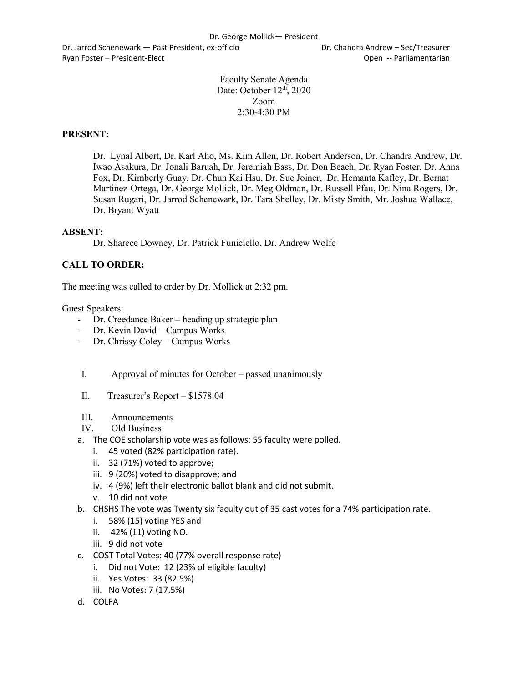Dr. Jarrod Schenewark — Past President, ex-officio Dr. Chandra Andrew – Sec/Treasurer Ryan Foster – President-Elect Controller Controller Controller Controller Controller Controller Controller Controller Controller Controller Controller Controller Controller Controller Controller Controller Controller Contr

Faculty Senate Agenda Date: October 12<sup>th</sup>, 2020 Zoom  $2:30-4:30$  PM

## **PRESENT:**

Dr. Lynal Albert, Dr. Karl Aho, Ms. Kim Allen, Dr. Robert Anderson, Dr. Chandra Andrew, Dr. Iwao Asakura, Dr. Jonali Baruah, Dr. Jeremiah Bass, Dr. Don Beach, Dr. Ryan Foster, Dr. Anna Fox, Dr. Kimberly Guay, Dr. Chun Kai Hsu, Dr. Sue Joiner, Dr. Hemanta Kafley, Dr. Bernat Martinez-Ortega, Dr. George Mollick, Dr. Meg Oldman, Dr. Russell Pfau, Dr. Nina Rogers, Dr. Susan Rugari, Dr. Jarrod Schenewark, Dr. Tara Shelley, Dr. Misty Smith, Mr. Joshua Wallace, Dr. Bryant Wyatt

## **ABSENT:**

Dr. Sharece Downey, Dr. Patrick Funiciello, Dr. Andrew Wolfe

## **CALL TO ORDER:**

The meeting was called to order by Dr. Mollick at 2:32 pm.

Guest Speakers:

- Dr. Creedance Baker heading up strategic plan
- Dr. Kevin David Campus Works
- Dr. Chrissy Coley Campus Works
- I. Approval of minutes for October passed unanimously
- II. Treasurer's Report \$1578.04
- III. Announcements
- IV. Old Business
- a. The COE scholarship vote was as follows: 55 faculty were polled.
	- i. 45 voted (82% participation rate).
	- ii. 32 (71%) voted to approve;
	- iii. 9 (20%) voted to disapprove; and
	- iv. 4 (9%) left their electronic ballot blank and did not submit.
	- v. 10 did not vote
- b. CHSHS The vote was Twenty six faculty out of 35 cast votes for a 74% participation rate.
	- i. 58% (15) voting YES and
	- ii. 42% (11) voting NO.
	- iii. 9 did not vote
- c. COST Total Votes: 40 (77% overall response rate)
	- i. Did not Vote: 12 (23% of eligible faculty)
	- ii. Yes Votes: 33 (82.5%)
	- iii. No Votes: 7 (17.5%)
- d. COLFA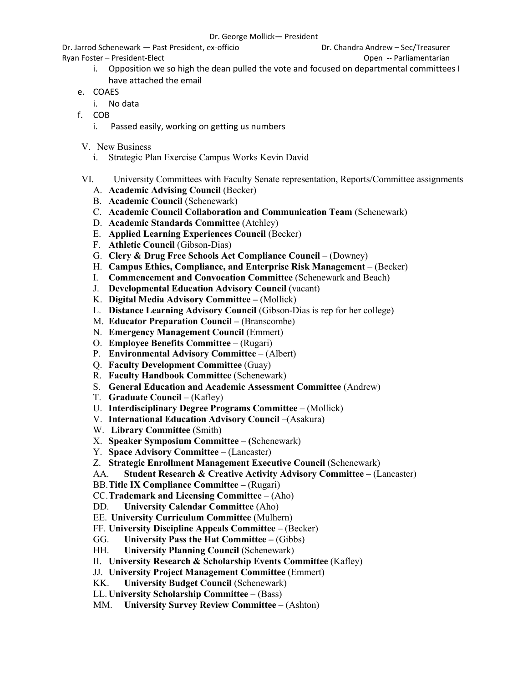Dr. Jarrod Schenewark — Past President, ex-officio Dr. Chandra Andrew – Sec/Treasurer

Ryan Foster – President-Elect **Contract Contract Contract Contract Contract Contract Contract Contract Contract Contract Contract Contract Contract Contract Contract Contract Contract Contract Contract Contract Contract Co** 

- i. Opposition we so high the dean pulled the vote and focused on departmental committees I have attached the email
- e. COAES
	- i. No data
- f. COB
	- i. Passed easily, working on getting us numbers
- V. New Business
	- i. Strategic Plan Exercise Campus Works Kevin David
- VI. University Committees with Faculty Senate representation, Reports/Committee assignments
	- A. **Academic Advising Council** (Becker)
	- B. **Academic Council** (Schenewark)
	- C. **Academic Council Collaboration and Communication Team** (Schenewark)
	- D. **Academic Standards Committee** (Atchley)
	- E. **Applied Learning Experiences Council** (Becker)
	- F. **Athletic Council** (Gibson-Dias)
	- G. **Clery & Drug Free Schools Act Compliance Council** (Downey)
	- H. **Campus Ethics, Compliance, and Enterprise Risk Management**  (Becker)
	- I. **Commencement and Convocation Committee** (Schenewark and Beach)
	- J. **Developmental Education Advisory Council** (vacant)
	- K. **Digital Media Advisory Committee –** (Mollick)
	- L. **Distance Learning Advisory Council** (Gibson-Dias is rep for her college)
	- M. **Educator Preparation Council –** (Branscombe)
	- N. **Emergency Management Council** (Emmert)
	- O. **Employee Benefits Committee**  (Rugari)
	- P. **Environmental Advisory Committee**  (Albert)
	- Q. **Faculty Development Committee** (Guay)
	- R. **Faculty Handbook Committee** (Schenewark)
	- S. **General Education and Academic Assessment Committee** (Andrew)
	- T. **Graduate Council**  (Kafley)
	- U. **Interdisciplinary Degree Programs Committee**  (Mollick)
	- V. **International Education Advisory Council** –(Asakura)
	- W. **Library Committee** (Smith)
	- X. **Speaker Symposium Committee – (**Schenewark)
	- Y. **Space Advisory Committee –** (Lancaster)
	- Z. **Strategic Enrollment Management Executive Council** (Schenewark)
	- AA. **Student Research & Creative Activity Advisory Committee –** (Lancaster)
	- BB.**Title IX Compliance Committee –** (Rugari)
	- CC.**Trademark and Licensing Committee**  (Aho)
	- DD. **University Calendar Committee** (Aho)
	- EE. **University Curriculum Committee** (Mulhern)
	- FF. **University Discipline Appeals Committee**  (Becker)
	- GG. **University Pass the Hat Committee –** (Gibbs)
	- HH. **University Planning Council (Schenewark)**
	- II. **University Research & Scholarship Events Committee** (Kafley)
	- JJ. **University Project Management Committee** (Emmert)
	- KK. **University Budget Council** (Schenewark)
	- LL. **University Scholarship Committee –** (Bass)
	- MM. **University Survey Review Committee –** (Ashton)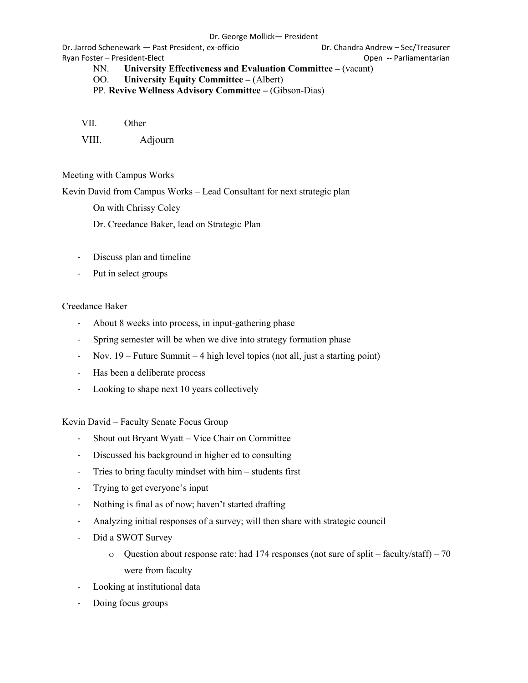Dr. Jarrod Schenewark — Past President, ex-officio Dr. Chandra Andrew – Sec/Treasurer Ryan Foster – President-Elect Controller Controller Controller Controller Controller Controller Controller Controller Controller Controller Controller Controller Controller Controller Controller Controller Controller Contr

NN. **University Effectiveness and Evaluation Committee –** (vacant)

OO. **University Equity Committee –** (Albert)

PP. **Revive Wellness Advisory Committee –** (Gibson-Dias)

VII. Other

VIII. Adjourn

Meeting with Campus Works

Kevin David from Campus Works – Lead Consultant for next strategic plan

On with Chrissy Coley

Dr. Creedance Baker, lead on Strategic Plan

- Discuss plan and timeline
- Put in select groups

## Creedance Baker

- About 8 weeks into process, in input-gathering phase
- Spring semester will be when we dive into strategy formation phase
- Nov. 19 Future Summit 4 high level topics (not all, just a starting point)
- Has been a deliberate process
- Looking to shape next 10 years collectively

Kevin David – Faculty Senate Focus Group

- Shout out Bryant Wyatt Vice Chair on Committee
- Discussed his background in higher ed to consulting
- Tries to bring faculty mindset with him students first
- Trying to get everyone's input
- Nothing is final as of now; haven't started drafting
- Analyzing initial responses of a survey; will then share with strategic council
- Did a SWOT Survey
	- $\circ$  Question about response rate: had 174 responses (not sure of split faculty/staff) 70 were from faculty
- Looking at institutional data
- Doing focus groups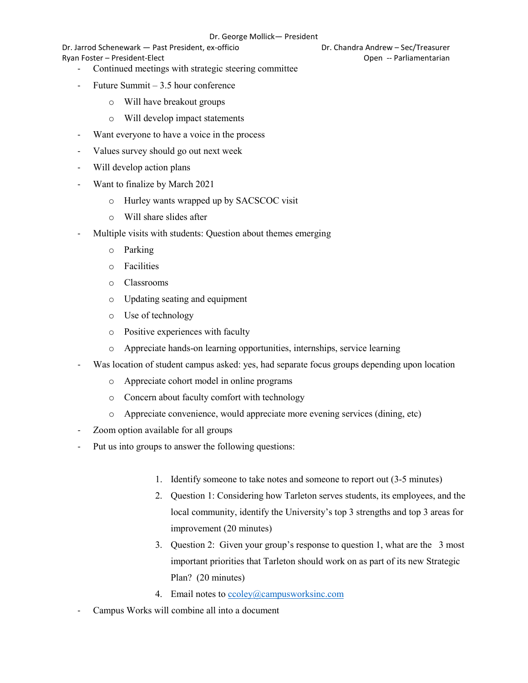Dr. Jarrod Schenewark — Past President, ex-officio Dr. Chandra Andrew – Sec/Treasurer Ryan Foster – President-Elect Controller Controller Controller Controller Controller Controller Controller Controller Controller Controller Controller Controller Controller Controller Controller Controller Controller Contr

- Continued meetings with strategic steering committee
- Future Summit  $-3.5$  hour conference
	- o Will have breakout groups
	- o Will develop impact statements
- Want everyone to have a voice in the process
- Values survey should go out next week
- Will develop action plans
- Want to finalize by March 2021
	- o Hurley wants wrapped up by SACSCOC visit
	- o Will share slides after
- Multiple visits with students: Question about themes emerging
	- o Parking
	- o Facilities
	- o Classrooms
	- o Updating seating and equipment
	- o Use of technology
	- o Positive experiences with faculty
	- o Appreciate hands-on learning opportunities, internships, service learning
- Was location of student campus asked: yes, had separate focus groups depending upon location
	- o Appreciate cohort model in online programs
	- o Concern about faculty comfort with technology
	- o Appreciate convenience, would appreciate more evening services (dining, etc)
- Zoom option available for all groups
- Put us into groups to answer the following questions:
	- 1. Identify someone to take notes and someone to report out (3-5 minutes)
	- 2. Question 1: Considering how Tarleton serves students, its employees, and the local community, identify the University's top 3 strengths and top 3 areas for improvement (20 minutes)
	- 3. Question 2: Given your group's response to question 1, what are the 3 most important priorities that Tarleton should work on as part of its new Strategic Plan? (20 minutes)
	- 4. Email notes to [ccoley@campusworksinc.com](mailto:ccoley@campusworksinc.com)
- Campus Works will combine all into a document